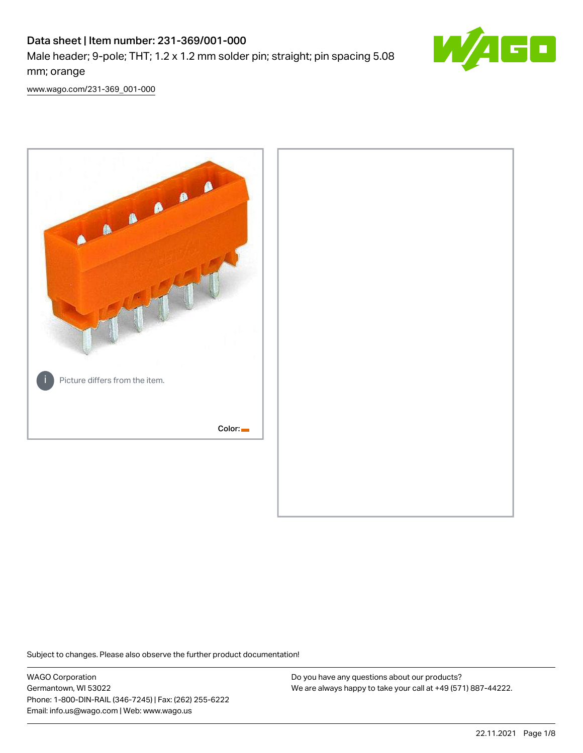# Data sheet | Item number: 231-369/001-000 Male header; 9-pole; THT; 1.2 x 1.2 mm solder pin; straight; pin spacing 5.08 mm; orange



[www.wago.com/231-369\\_001-000](http://www.wago.com/231-369_001-000)



Subject to changes. Please also observe the further product documentation!

WAGO Corporation Germantown, WI 53022 Phone: 1-800-DIN-RAIL (346-7245) | Fax: (262) 255-6222 Email: info.us@wago.com | Web: www.wago.us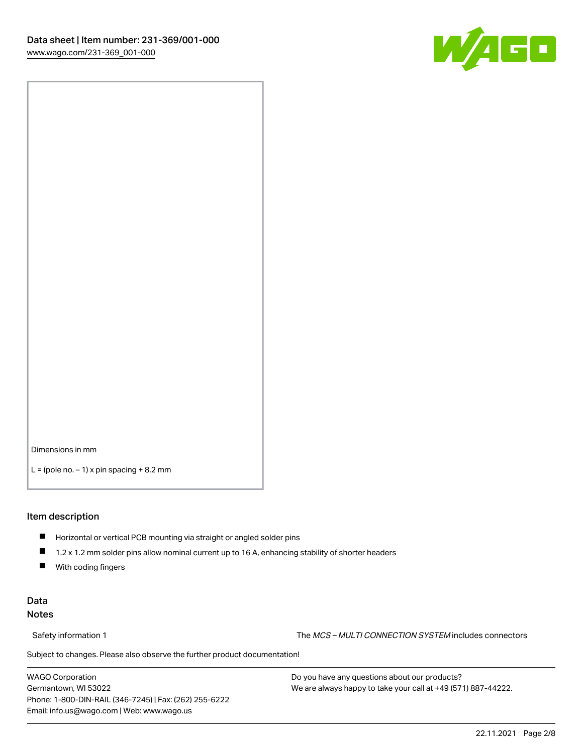

Dimensions in mm

 $L =$  (pole no.  $-1$ ) x pin spacing  $+8.2$  mm

#### Item description

- **Horizontal or vertical PCB mounting via straight or angled solder pins**
- 1.2 x 1.2 mm solder pins allow nominal current up to 16 A, enhancing stability of shorter headers
- $\blacksquare$ With coding fingers

## Data Notes

Safety information 1 The MCS – MULTI CONNECTION SYSTEM includes connectors

Subject to changes. Please also observe the further product documentation!  $\nu$ 

WAGO Corporation Germantown, WI 53022 Phone: 1-800-DIN-RAIL (346-7245) | Fax: (262) 255-6222 Email: info.us@wago.com | Web: www.wago.us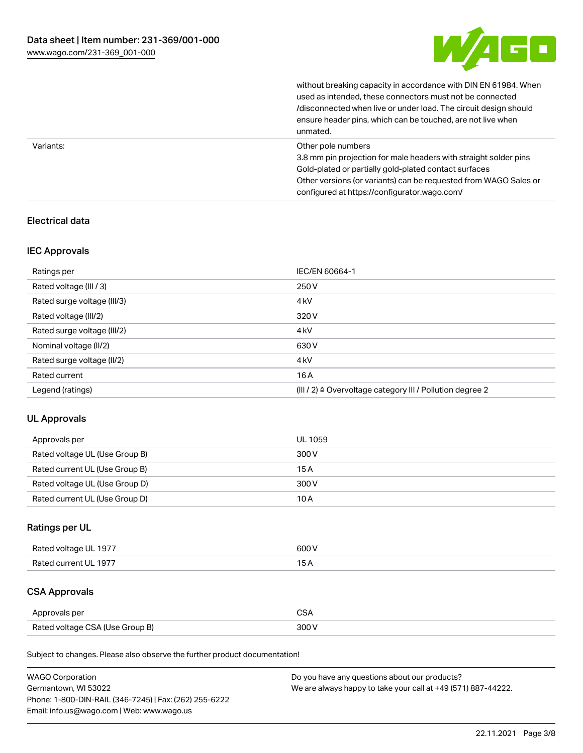

without breaking capacity in accordance with DIN EN 61984. When

|           | used as intended, these connectors must not be connected<br>/disconnected when live or under load. The circuit design should<br>ensure header pins, which can be touched, are not live when<br>unmated.                                                             |
|-----------|---------------------------------------------------------------------------------------------------------------------------------------------------------------------------------------------------------------------------------------------------------------------|
| Variants: | Other pole numbers<br>3.8 mm pin projection for male headers with straight solder pins<br>Gold-plated or partially gold-plated contact surfaces<br>Other versions (or variants) can be requested from WAGO Sales or<br>configured at https://configurator.wago.com/ |

## Electrical data

## IEC Approvals

| Ratings per                 | IEC/EN 60664-1                                                        |
|-----------------------------|-----------------------------------------------------------------------|
| Rated voltage (III / 3)     | 250 V                                                                 |
| Rated surge voltage (III/3) | 4 <sub>kV</sub>                                                       |
| Rated voltage (III/2)       | 320 V                                                                 |
| Rated surge voltage (III/2) | 4 <sub>k</sub> V                                                      |
| Nominal voltage (II/2)      | 630 V                                                                 |
| Rated surge voltage (II/2)  | 4 <sub>k</sub> V                                                      |
| Rated current               | 16A                                                                   |
| Legend (ratings)            | $(III / 2)$ $\triangle$ Overvoltage category III / Pollution degree 2 |

## UL Approvals

| Approvals per                  | UL 1059 |
|--------------------------------|---------|
| Rated voltage UL (Use Group B) | 300 V   |
| Rated current UL (Use Group B) | 15 A    |
| Rated voltage UL (Use Group D) | 300 V   |
| Rated current UL (Use Group D) | 10 A    |

## Ratings per UL

| Rated voltage UL 1977 | 600 V |
|-----------------------|-------|
| Rated current UL 1977 |       |

# CSA Approvals

| Approvals per                   | ~~    |
|---------------------------------|-------|
| Rated voltage CSA (Use Group B) | 3UU 1 |

Subject to changes. Please also observe the further product documentation!

| <b>WAGO Corporation</b>                                | Do you have any questions about our products?                 |
|--------------------------------------------------------|---------------------------------------------------------------|
| Germantown, WI 53022                                   | We are always happy to take your call at +49 (571) 887-44222. |
| Phone: 1-800-DIN-RAIL (346-7245)   Fax: (262) 255-6222 |                                                               |
| Email: info.us@wago.com   Web: www.wago.us             |                                                               |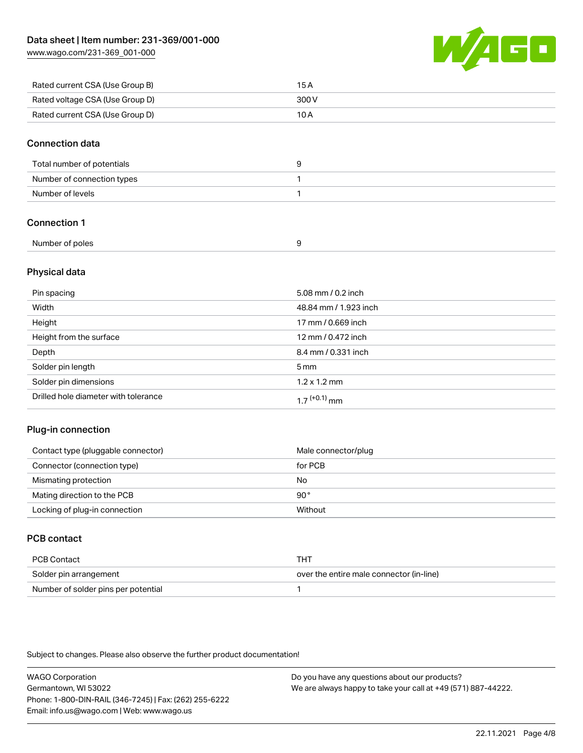[www.wago.com/231-369\\_001-000](http://www.wago.com/231-369_001-000)



| Rated current CSA (Use Group B) | 15 A  |
|---------------------------------|-------|
| Rated voltage CSA (Use Group D) | 300 V |
| Rated current CSA (Use Group D) | 10 A  |

#### Connection data

| Total number of potentials |  |
|----------------------------|--|
| Number of connection types |  |
| Number of levels           |  |

## Connection 1

## Physical data

| Pin spacing                          | 5.08 mm / 0.2 inch    |
|--------------------------------------|-----------------------|
| Width                                | 48.84 mm / 1.923 inch |
| Height                               | 17 mm / 0.669 inch    |
| Height from the surface              | 12 mm / 0.472 inch    |
| Depth                                | 8.4 mm / 0.331 inch   |
| Solder pin length                    | $5 \,\mathrm{mm}$     |
| Solder pin dimensions                | $1.2 \times 1.2$ mm   |
| Drilled hole diameter with tolerance | $17^{(+0.1)}$ mm      |

## Plug-in connection

| Contact type (pluggable connector) | Male connector/plug |
|------------------------------------|---------------------|
| Connector (connection type)        | for PCB             |
| Mismating protection               | No                  |
| Mating direction to the PCB        | 90°                 |
| Locking of plug-in connection      | Without             |

## PCB contact

| PCB Contact                         | THT                                      |
|-------------------------------------|------------------------------------------|
| Solder pin arrangement              | over the entire male connector (in-line) |
| Number of solder pins per potential |                                          |

Subject to changes. Please also observe the further product documentation!

WAGO Corporation Germantown, WI 53022 Phone: 1-800-DIN-RAIL (346-7245) | Fax: (262) 255-6222 Email: info.us@wago.com | Web: www.wago.us Do you have any questions about our products? We are always happy to take your call at +49 (571) 887-44222.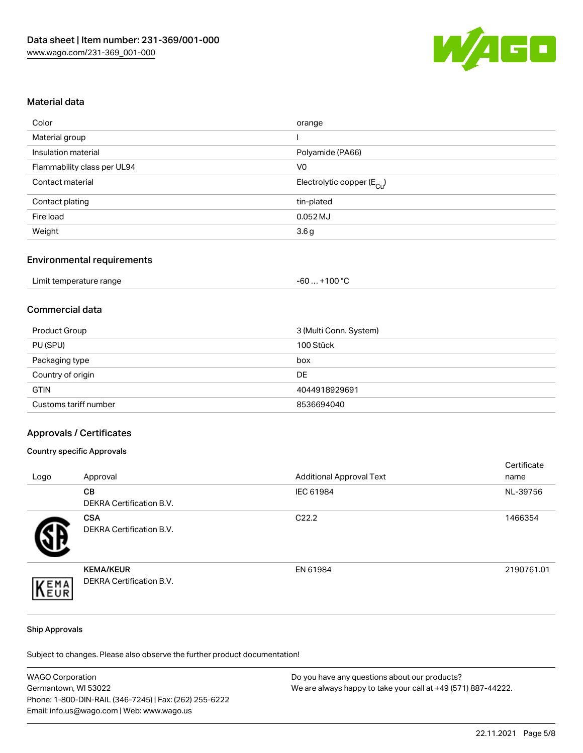

#### Material data

| Color                       | orange                                 |
|-----------------------------|----------------------------------------|
| Material group              |                                        |
| Insulation material         | Polyamide (PA66)                       |
| Flammability class per UL94 | V0                                     |
| Contact material            | Electrolytic copper (E <sub>Cu</sub> ) |
| Contact plating             | tin-plated                             |
| Fire load                   | $0.052$ MJ                             |
| Weight                      | 3.6g                                   |
|                             |                                        |

## Environmental requirements

| Limit temperature range | $+100 °C$<br>-60 |
|-------------------------|------------------|
|-------------------------|------------------|

## Commercial data

| Product Group         | 3 (Multi Conn. System) |
|-----------------------|------------------------|
| PU (SPU)              | 100 Stück              |
| Packaging type        | box                    |
| Country of origin     | DE                     |
| <b>GTIN</b>           | 4044918929691          |
| Customs tariff number | 8536694040             |

#### Approvals / Certificates

#### Country specific Approvals

| Logo | Approval                                            | <b>Additional Approval Text</b> | Certificate<br>name |
|------|-----------------------------------------------------|---------------------------------|---------------------|
|      | <b>CB</b><br>DEKRA Certification B.V.               | IEC 61984                       | NL-39756            |
|      | <b>CSA</b><br>DEKRA Certification B.V.              | C <sub>22.2</sub>               | 1466354             |
| EMA  | <b>KEMA/KEUR</b><br><b>DEKRA Certification B.V.</b> | EN 61984                        | 2190761.01          |

#### Ship Approvals

Subject to changes. Please also observe the further product documentation!

| <b>WAGO Corporation</b>                                | Do you have any questions about our products?                 |
|--------------------------------------------------------|---------------------------------------------------------------|
| Germantown, WI 53022                                   | We are always happy to take your call at +49 (571) 887-44222. |
| Phone: 1-800-DIN-RAIL (346-7245)   Fax: (262) 255-6222 |                                                               |
| Email: info.us@wago.com   Web: www.wago.us             |                                                               |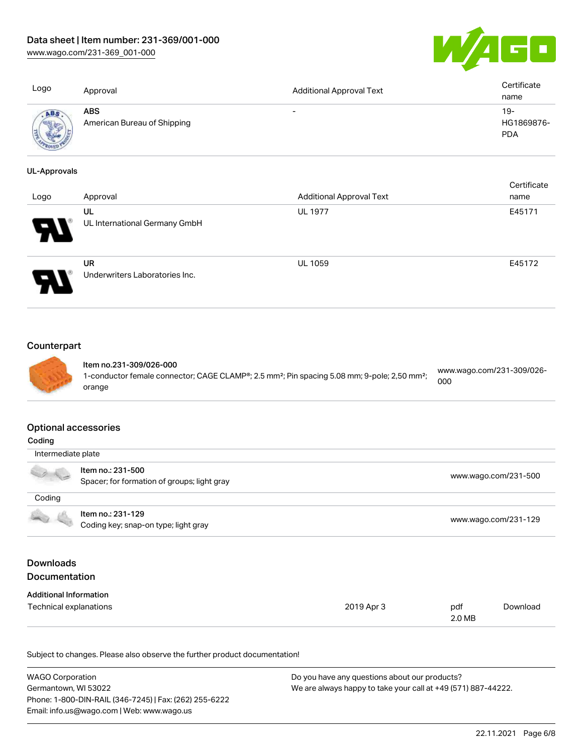[www.wago.com/231-369\\_001-000](http://www.wago.com/231-369_001-000)



| Logo                | Approval                                    | <b>Additional Approval Text</b> | Certificate<br>name                |
|---------------------|---------------------------------------------|---------------------------------|------------------------------------|
| ABS                 | <b>ABS</b><br>American Bureau of Shipping   | ۰                               | $19 -$<br>HG1869876-<br><b>PDA</b> |
| <b>UL-Approvals</b> |                                             |                                 |                                    |
| Logo                | Approval                                    | <b>Additional Approval Text</b> | Certificate<br>name                |
|                     | UL<br>UL International Germany GmbH         | <b>UL 1977</b>                  | E45171                             |
|                     | <b>UR</b><br>Underwriters Laboratories Inc. | <b>UL 1059</b>                  | E45172                             |

## **Counterpart**



Item no.231-309/026-000 1-conductor female connector; CAGE CLAMP®; 2.5 mm²; Pin spacing 5.08 mm; 9-pole; 2,50 mm²; orange [www.wago.com/231-309/026-](https://www.wago.com/231-309/026-000) [000](https://www.wago.com/231-309/026-000)

#### Optional accessories

| Coding                                   |                                                                  |            |                      |                      |
|------------------------------------------|------------------------------------------------------------------|------------|----------------------|----------------------|
| Intermediate plate                       |                                                                  |            |                      |                      |
|                                          | Item no.: 231-500<br>Spacer; for formation of groups; light gray |            |                      | www.wago.com/231-500 |
| Coding                                   |                                                                  |            |                      |                      |
|                                          | Item no.: 231-129<br>Coding key; snap-on type; light gray        |            | www.wago.com/231-129 |                      |
| <b>Downloads</b><br><b>Documentation</b> |                                                                  |            |                      |                      |
| <b>Additional Information</b>            |                                                                  |            |                      |                      |
| Technical explanations                   |                                                                  | 2019 Apr 3 | pdf<br>2.0 MB        | Download             |

Subject to changes. Please also observe the further product documentation!

| <b>WAGO Corporation</b>                                | Do you have any questions about our products?                 |
|--------------------------------------------------------|---------------------------------------------------------------|
| Germantown, WI 53022                                   | We are always happy to take your call at +49 (571) 887-44222. |
| Phone: 1-800-DIN-RAIL (346-7245)   Fax: (262) 255-6222 |                                                               |
| Email: info.us@wago.com   Web: www.wago.us             |                                                               |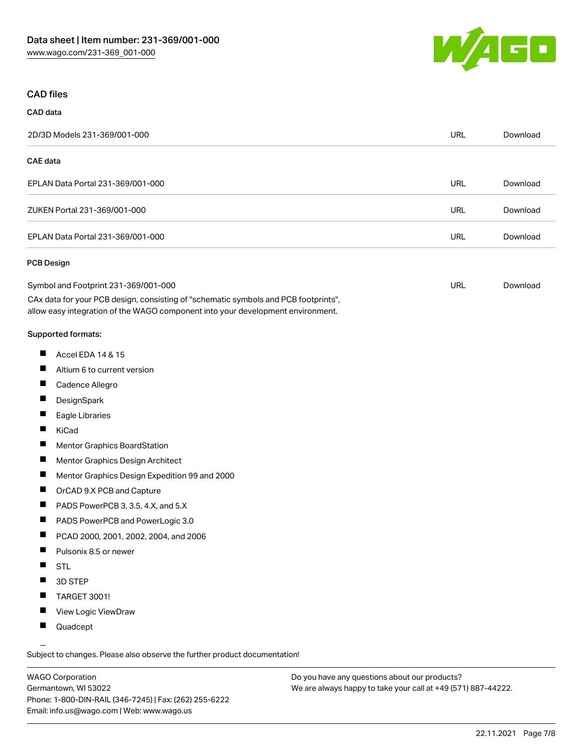

## CAD files

# CAD data 2D/3D Models 231-369/001-000 URL [Download](https://www.wago.com/global/d/3D_URLS_231-369_001-000) CAE data EPLAN Data Portal 231-369/001-000 URL [Download](https://www.wago.com/global/d/EPLAN_URLS_231-369%252F001-000) ZUKEN Portal 231-369/001-000 URL [Download](https://www.wago.com/global/d/Zuken_URLS_231-369_001-000) EPLAN Data Portal 231-369/001-000 URL [Download](https://www.wago.com/global/d/EPLAN_URLS_231-369_001-000) PCB Design Symbol and Footprint 231-369/001-000 URL [Download](https://www.wago.com/global/d/UltraLibrarian_URLS_231-369_001-000)

CAx data for your PCB design, consisting of "schematic symbols and PCB footprints", allow easy integration of the WAGO component into your development environment.

#### Supported formats:

- $\blacksquare$ Accel EDA 14 & 15
- П Altium 6 to current version
- П Cadence Allegro
- П **DesignSpark**
- П Eagle Libraries
- $\blacksquare$ KiCad
- П Mentor Graphics BoardStation
- $\blacksquare$ Mentor Graphics Design Architect
- П Mentor Graphics Design Expedition 99 and 2000
- П OrCAD 9.X PCB and Capture
- $\blacksquare$ PADS PowerPCB 3, 3.5, 4.X, and 5.X
- $\blacksquare$ PADS PowerPCB and PowerLogic 3.0
- $\blacksquare$ PCAD 2000, 2001, 2002, 2004, and 2006
- $\blacksquare$ Pulsonix 8.5 or newer
- $\blacksquare$ STL
- $\blacksquare$ 3D STEP
- $\blacksquare$ TARGET 3001!
- $\blacksquare$ View Logic ViewDraw
- $\blacksquare$ Quadcept

.<br>Subject to changes. Please also observe the further product documentation!

WAGO Corporation Germantown, WI 53022 Phone: 1-800-DIN-RAIL (346-7245) | Fax: (262) 255-6222 Email: info.us@wago.com | Web: www.wago.us